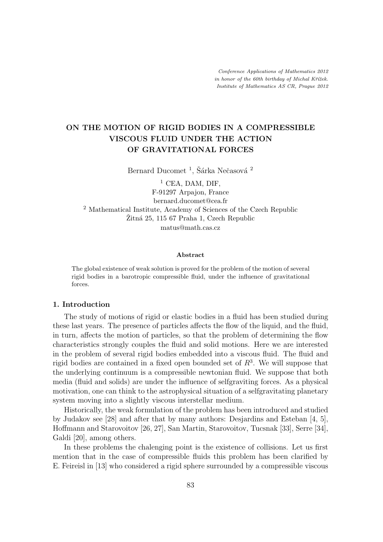# ON THE MOTION OF RIGID BODIES IN A COMPRESSIBLE VISCOUS FLUID UNDER THE ACTION OF GRAVITATIONAL FORCES

Bernard Ducomet $^1,$ Šárka Nečasová $^2$ 

 $1$  CEA, DAM, DIF, F-91297 Arpajon, France bernard.ducomet@cea.fr <sup>2</sup> Mathematical Institute, Academy of Sciences of the Czech Republic  $Zitn\acute{a}$  25, 115 67 Praha 1, Czech Republic matus@math.cas.cz

#### Abstract

The global existence of weak solution is proved for the problem of the motion of several rigid bodies in a barotropic compressible fluid, under the influence of gravitational forces.

#### 1. Introduction

The study of motions of rigid or elastic bodies in a fluid has been studied during these last years. The presence of particles affects the flow of the liquid, and the fluid, in turn, affects the motion of particles, so that the problem of determining the flow characteristics strongly couples the fluid and solid motions. Here we are interested in the problem of several rigid bodies embedded into a viscous fluid. The fluid and rigid bodies are contained in a fixed open bounded set of  $R<sup>3</sup>$ . We will suppose that the underlying continuum is a compressible newtonian fluid. We suppose that both media (fluid and solids) are under the influence of selfgraviting forces. As a physical motivation, one can think to the astrophysical situation of a selfgravitating planetary system moving into a slightly viscous interstellar medium.

Historically, the weak formulation of the problem has been introduced and studied by Judakov see [28] and after that by many authors: Desjardins and Esteban [4, 5], Hoffmann and Starovoitov [26, 27], San Martin, Starovoitov, Tucsnak [33], Serre [34], Galdi [20], among others.

In these problems the chalenging point is the existence of collisions. Let us first mention that in the case of compressible fluids this problem has been clarified by E. Feireisl in [13] who considered a rigid sphere surrounded by a compressible viscous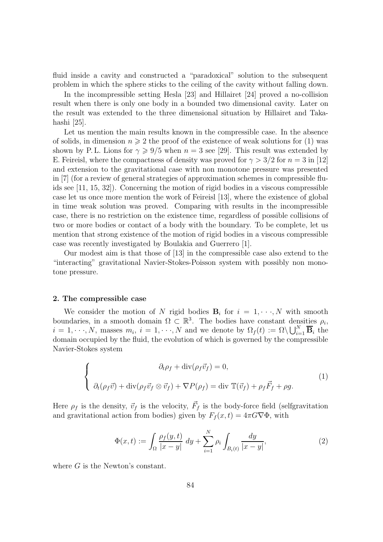fluid inside a cavity and constructed a "paradoxical" solution to the subsequent problem in which the sphere sticks to the ceiling of the cavity without falling down.

In the incompressible setting Hesla [23] and Hillairet [24] proved a no-collision result when there is only one body in a bounded two dimensional cavity. Later on the result was extended to the three dimensional situation by Hillairet and Takahashi [25].

Let us mention the main results known in the compressible case. In the absence of solids, in dimension  $n \geq 2$  the proof of the existence of weak solutions for (1) was shown by P. L. Lions for  $\gamma \geq 9/5$  when  $n = 3$  see [29]. This result was extended by E. Feireisl, where the compactness of density was proved for  $\gamma > 3/2$  for  $n = 3$  in [12] and extension to the gravitational case with non monotone pressure was presented in [7] (for a review of general strategies of approximation schemes in compressible fluids see [11, 15, 32]). Concerning the motion of rigid bodies in a viscous compressible case let us once more mention the work of Feireisl [13], where the existence of global in time weak solution was proved. Comparing with results in the incompressible case, there is no restriction on the existence time, regardless of possible collisions of two or more bodies or contact of a body with the boundary. To be complete, let us mention that strong existence of the motion of rigid bodies in a viscous compressible case was recently investigated by Boulakia and Guerrero [1].

Our modest aim is that those of [13] in the compressible case also extend to the "interacting" gravitational Navier-Stokes-Poisson system with possibly non monotone pressure.

#### 2. The compressible case

We consider the motion of N rigid bodies  $B_i$  for  $i = 1, \dots, N$  with smooth boundaries, in a smooth domain  $\Omega \subset \mathbb{R}^3$ . The bodies have constant densities  $\rho_i$ ,  $i = 1, \dots, N$ , masses  $m_i$ ,  $i = 1, \dots, N$  and we denote by  $\Omega_f(t) := \Omega \setminus \bigcup_{i=1}^N \overline{\mathbf{B}}_i$  the domain occupied by the fluid, the evolution of which is governed by the compressible Navier-Stokes system

$$
\begin{cases}\n\partial_t \rho_f + \operatorname{div}(\rho_f \vec{v}_f) = 0, \\
\partial_t (\rho_f \vec{v}) + \operatorname{div}(\rho_f \vec{v}_f \otimes \vec{v}_f) + \nabla P(\rho_f) = \operatorname{div} \mathbb{T}(\vec{v}_f) + \rho_f \vec{F}_f + \rho g.\n\end{cases}
$$
\n(1)

Here  $\rho_f$  is the density,  $\vec{v}_f$  is the velocity,  $\vec{F}_f$  is the body-force field (selfgravitation and gravitational action from bodies) given by  $F_f(x,t) = 4\pi G \nabla \Phi$ , with

$$
\Phi(x,t) := \int_{\Omega} \frac{\rho_f(y,t)}{|x-y|} \, dy + \sum_{i=1}^{N} \rho_i \int_{B_i(t)} \frac{dy}{|x-y|},\tag{2}
$$

where G is the Newton's constant.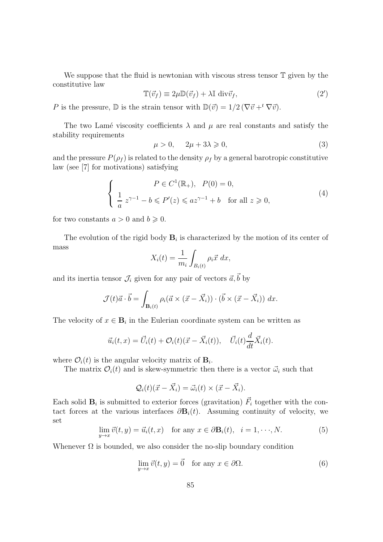We suppose that the fluid is newtonian with viscous stress tensor  $\mathbb T$  given by the constitutive law

$$
\mathbb{T}(\vec{v}_f) \equiv 2\mu \mathbb{D}(\vec{v}_f) + \lambda \mathbb{I} \operatorname{div} \vec{v}_f, \tag{2'}
$$

P is the pressure, D is the strain tensor with  $\mathbb{D}(\vec{v}) = 1/2 (\nabla \vec{v} +^t \nabla \vec{v}).$ 

The two Lamé viscosity coefficients  $\lambda$  and  $\mu$  are real constants and satisfy the stability requirements

$$
\mu > 0, \quad 2\mu + 3\lambda \geqslant 0,\tag{3}
$$

and the pressure  $P(\rho_f)$  is related to the density  $\rho_f$  by a general barotropic constitutive law (see [7] for motivations) satisfying

$$
\begin{cases}\n P \in C^1(\mathbb{R}_+), \quad P(0) = 0, \\
 \frac{1}{a} z^{\gamma - 1} - b \leqslant P'(z) \leqslant az^{\gamma - 1} + b \quad \text{for all } z \geqslant 0,\n\end{cases}
$$
\n(4)

for two constants  $a > 0$  and  $b \ge 0$ .

The evolution of the rigid body  $B_i$  is characterized by the motion of its center of mass

$$
X_i(t) = \frac{1}{m_i} \int_{B_i(t)} \rho_i \vec{x} \, dx,
$$

and its inertia tensor  $\mathcal{J}_i$  given for any pair of vectors  $\vec{a}, \vec{b}$  by

$$
\mathcal{J}(t)\vec{a}\cdot\vec{b} = \int_{\mathbf{B}_i(t)} \rho_i(\vec{a}\times(\vec{x}-\vec{X}_i))\cdot(\vec{b}\times(\vec{x}-\vec{X}_i))\;dx.
$$

The velocity of  $x \in \mathbf{B}_i$  in the Eulerian coordinate system can be written as

$$
\vec{u}_i(t,x) = \vec{U}_i(t) + \mathcal{O}_i(t)(\vec{x} - \vec{X}_i(t)), \quad \vec{U}_i(t) \frac{d}{dt} \vec{X}_i(t).
$$

where  $\mathcal{O}_i(t)$  is the angular velocity matrix of  $\mathbf{B}_i$ .

The matrix  $\mathcal{O}_i(t)$  and is skew-symmetric then there is a vector  $\vec{\omega}_i$  such that

$$
\mathcal{Q}_i(t)(\vec{x} - \vec{X}_i) = \vec{\omega}_i(t) \times (\vec{x} - \vec{X}_i).
$$

Each solid  $\mathbf{B}_i$  is submitted to exterior forces (gravitation)  $\vec{F}_i$  together with the contact forces at the various interfaces  $\partial \mathbf{B}_i(t)$ . Assuming continuity of velocity, we set

$$
\lim_{y \to x} \vec{v}(t, y) = \vec{u}_i(t, x) \quad \text{for any } x \in \partial \mathbf{B}_i(t), \quad i = 1, \dots, N. \tag{5}
$$

Whenever  $\Omega$  is bounded, we also consider the no-slip boundary condition

$$
\lim_{y \to x} \vec{v}(t, y) = \vec{0} \quad \text{for any } x \in \partial \Omega.
$$
 (6)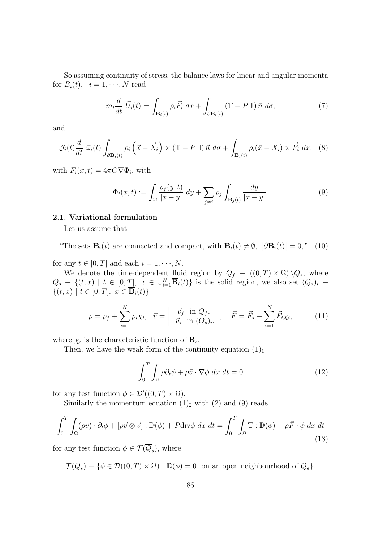So assuming continuity of stress, the balance laws for linear and angular momenta for  $B_i(t)$ ,  $i = 1, \dots, N$  read

$$
m_i \frac{d}{dt} \vec{U}_i(t) = \int_{\mathbf{B}_i(t)} \rho_i \vec{F}_i dx + \int_{\partial \mathbf{B}_i(t)} (\mathbb{T} - P \mathbb{I}) \vec{n} d\sigma,
$$
 (7)

and

$$
\mathcal{J}_i(t) \frac{d}{dt} \; \vec{\omega}_i(t) \int_{\partial \mathbf{B}_i(t)} \rho_i \left( \vec{x} - \vec{X}_i \right) \times (\mathbb{T} - P \; \mathbb{I}) \; \vec{n} \; d\sigma + \int_{\mathbf{B}_i(t)} \rho_i (\vec{x} - \vec{X}_i) \times \vec{F}_i \; dx, \tag{8}
$$

with  $F_i(x,t) = 4\pi G \nabla \Phi_i$ , with

$$
\Phi_i(x,t) := \int_{\Omega} \frac{\rho_f(y,t)}{|x-y|} dy + \sum_{j \neq i} \rho_j \int_{\mathbf{B}_j(t)} \frac{dy}{|x-y|}.
$$
\n(9)

# 2.1. Variational formulation

Let us assume that

"The sets  $\overline{\mathbf{B}}_i(t)$  are connected and compact, with  $\mathbf{B}_i(t) \neq \emptyset$ ,  $|\partial \overline{\mathbf{B}}_i(t)| = 0$ ," (10)

for any  $t \in [0, T]$  and each  $i = 1, \dots, N$ .

We denote the time-dependent fluid region by  $Q_f \equiv ((0,T) \times \Omega) \backslash Q_s$ , where  $Q_s \equiv \{(t,x) \mid t \in [0,T], \ x \in \bigcup_{i=1}^N \overline{B}_i(t)\}\$ is the solid region, we also set  $(Q_s)_i \equiv$  $\{(t, x) \mid t \in [0, T], \ x \in \mathbf{B}_i(t)\}\$ 

$$
\rho = \rho_f + \sum_{i=1}^{N} \rho_i \chi_i, \quad \vec{v} = \begin{vmatrix} \vec{v}_f & \text{in } Q_f, \\ \vec{u}_i & \text{in } (Q_s)_i. \end{vmatrix}, \quad \vec{F} = \vec{F}_s + \sum_{i=1}^{N} \vec{F}_i \chi_i,
$$
 (11)

where  $\chi_i$  is the characteristic function of  $\mathbf{B}_i$ .

Then, we have the weak form of the continuity equation  $(1)_1$ 

$$
\int_0^T \int_{\Omega} \rho \partial_t \phi + \rho \vec{v} \cdot \nabla \phi \, dx \, dt = 0 \tag{12}
$$

for any test function  $\phi \in \mathcal{D}'((0,T) \times \Omega)$ .

Similarly the momentum equation  $(1)_2$  with  $(2)$  and  $(9)$  reads

$$
\int_0^T \int_{\Omega} (\rho \vec{v}) \cdot \partial_t \phi + [\rho \vec{v} \otimes \vec{v}] : \mathbb{D}(\phi) + P \text{div} \phi \, dx \, dt = \int_0^T \int_{\Omega} \mathbb{T} : \mathbb{D}(\phi) - \rho \vec{F} \cdot \phi \, dx \, dt \tag{13}
$$

for any test function  $\phi \in \mathcal{T}(Q_s)$ , where

$$
\mathcal{T}(\overline{Q}_s) \equiv \{ \phi \in \mathcal{D}((0,T) \times \Omega) \mid \mathbb{D}(\phi) = 0 \text{ on an open neighbourhood of } \overline{Q}_s \}.
$$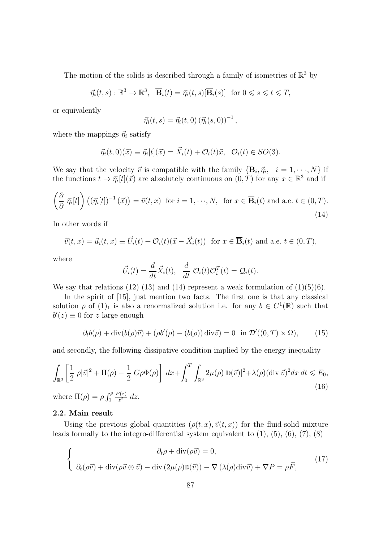The motion of the solids is described through a family of isometries of  $\mathbb{R}^3$  by

$$
\vec{\eta}_i(t,s): \mathbb{R}^3 \to \mathbb{R}^3, \quad \overline{\mathbf{B}}_i(t) = \vec{\eta}_i(t,s) [\overline{\mathbf{B}}_i(s)] \text{ for } 0 \le s \le t \le T,
$$

or equivalently

$$
\vec{\eta_i}(t,s) = \vec{\eta_i}(t,0) (\vec{\eta_i}(s,0))^{-1},
$$

where the mappings  $\vec{\eta}_i$  satisfy

$$
\vec{\eta}_i(t,0)(\vec{x}) \equiv \vec{\eta}_i[t](\vec{x}) = \vec{X}_i(t) + \mathcal{O}_i(t)\vec{x}, \quad \mathcal{O}_i(t) \in SO(3).
$$

We say that the velocity  $\vec{v}$  is compatible with the family  ${\bf \{B}}_i, \vec{\eta}_i, i = 1, \dots, N\}$  if the functions  $t \to \vec{\eta}_i[t](\vec{x})$  are absolutely continuous on  $(0,T)$  for any  $x \in \mathbb{R}^3$  and if

$$
\left(\frac{\partial}{\partial} \vec{\eta_i}[t]\right) \left((\vec{\eta_i}[t])^{-1}(\vec{x})\right) = \vec{v}(t, x) \text{ for } i = 1, \dots, N, \text{ for } x \in \overline{\mathbf{B}}_i(t) \text{ and a.e. } t \in (0, T).
$$
\n(14)

In other words if

$$
\vec{v}(t,x) = \vec{u}_i(t,x) \equiv \vec{U}_i(t) + \mathcal{O}_i(t)(\vec{x} - \vec{X}_i(t)) \text{ for } x \in \overline{\mathbf{B}}_i(t) \text{ and a.e. } t \in (0,T),
$$

where

$$
\vec{U}_i(t) = \frac{d}{dt}\vec{X}_i(t), \quad \frac{d}{dt} \mathcal{O}_i(t)\mathcal{O}_i^T(t) = \mathcal{Q}_i(t).
$$

We say that relations (12) (13) and (14) represent a weak formulation of  $(1)(5)(6)$ .

In the spirit of [15], just mention two facts. The first one is that any classical solution  $\rho$  of  $(1)_1$  is also a renormalized solution i.e. for any  $b \in C^1(\mathbb{R})$  such that  $b'(z) \equiv 0$  for z large enough

$$
\partial_t b(\rho) + \operatorname{div}(b(\rho)\vec{v}) + (\rho b'(\rho) - (b(\rho))\operatorname{div}\vec{v}) = 0 \quad \text{in } \mathcal{D}'((0,T) \times \Omega), \tag{15}
$$

and secondly, the following dissipative condition implied by the energy inequality

$$
\int_{\mathbb{R}^3} \left[ \frac{1}{2} \rho |\vec{v}|^2 + \Pi(\rho) - \frac{1}{2} G\rho \Phi(\rho) \right] dx + \int_0^T \int_{\mathbb{R}^3} 2\mu(\rho) |\mathbb{D}(\vec{v})|^2 + \lambda(\rho) (\operatorname{div} \vec{v})^2 dx dt \leq E_0,
$$
\n(16)

where  $\Pi(\rho) = \rho \int_1^{\rho}$  $P(z)$  $\frac{z^{(z)}}{z^2}$  dz.

# 2.2. Main result

Using the previous global quantities  $(\rho(t, x), \vec{v}(t, x))$  for the fluid-solid mixture leads formally to the integro-differential system equivalent to  $(1)$ ,  $(5)$ ,  $(6)$ ,  $(7)$ ,  $(8)$ 

$$
\begin{cases}\n\partial_t \rho + \operatorname{div}(\rho \vec{v}) = 0, \\
\partial_t (\rho \vec{v}) + \operatorname{div}(\rho \vec{v} \otimes \vec{v}) - \operatorname{div}(2\mu(\rho) \mathbb{D}(\vec{v})) - \nabla (\lambda(\rho) \operatorname{div} \vec{v}) + \nabla P = \rho \vec{F},\n\end{cases}
$$
\n(17)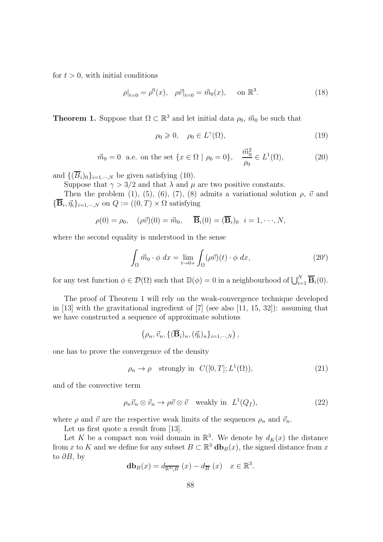for  $t > 0$ , with initial conditions

$$
\rho|_{t=0} = \rho^0(x), \quad \rho \vec{v}|_{t=0} = \vec{m}_0(x), \quad \text{on } \mathbb{R}^3. \tag{18}
$$

**Theorem 1.** Suppose that  $\Omega \subset \mathbb{R}^3$  and let initial data  $\rho_0$ ,  $\vec{m}_0$  be such that

$$
\rho_0 \geqslant 0, \quad \rho_0 \in L^{\gamma}(\Omega), \tag{19}
$$

$$
\vec{m}_0 = 0
$$
 a.e. on the set  $\{x \in \Omega \mid \rho_0 = 0\}$ ,  $\frac{\vec{m}_0^2}{\rho_0} \in L^1(\Omega)$ , (20)

and  $\{(\overline{B}_i)_0\}_{i=1,\dots,N}$  be given satisfying (10).

Suppose that  $\gamma > 3/2$  and that  $\lambda$  and  $\mu$  are two positive constants.

Then the problem (1), (5), (6), (7), (8) admits a variational solution  $\rho$ ,  $\vec{v}$  and  $\{\overline{\mathbf{B}}_i, \vec{\eta}_i\}_{i=1,\cdots,N}$  on  $Q := ((0, T) \times \Omega \text{ satisfying }$ 

$$
\rho(0) = \rho_0, \quad (\rho \vec{v})(0) = \vec{m}_0, \quad \overline{\mathbf{B}}_i(0) = (\overline{\mathbf{B}}_i)_0 \quad i = 1, \cdots, N,
$$

where the second equality is understood in the sense

$$
\int_{\Omega} \vec{m}_0 \cdot \phi \, dx = \lim_{t \to 0+} \int_{\Omega} (\rho \vec{v})(t) \cdot \phi \, dx,\tag{20'}
$$

for any test function  $\phi \in \mathcal{D}(\Omega)$  such that  $\mathbb{D}(\phi) = 0$  in a neighbourhood of  $\bigcup_{i=1}^{N} \overline{\mathbf{B}}_{i}(0)$ .

The proof of Theorem 1 will rely on the weak-convergence technique developed in [13] with the gravitational ingredient of [7] (see also [11, 15, 32]): assuming that we have constructed a sequence of approximate solutions

$$
(\rho_n, \vec{v}_n, \{(\overline{\mathbf{B}}_i)_n, (\vec{\eta}_i)_n\}_{i=1,\cdots,N}),
$$

one has to prove the convergence of the density

$$
\rho_n \to \rho \quad \text{strongly in} \quad C([0, T]; L^1(\Omega)), \tag{21}
$$

and of the convective term

$$
\rho_n \vec{v}_n \otimes \vec{v}_n \to \rho \vec{v} \otimes \vec{v} \quad \text{weakly in } \ L^1(Q_f), \tag{22}
$$

where  $\rho$  and  $\vec{v}$  are the respective weak limits of the sequences  $\rho_n$  and  $\vec{v}_n$ .

Let us first quote a result from [13].

Let K be a compact non void domain in  $\mathbb{R}^3$ . We denote by  $d_K(x)$  the distance from x to K and we define for any subset  $B \subset \mathbb{R}^3$  db $_B(x)$ , the signed distance from x to  $\partial B$ , by

$$
\mathbf{db}_B(x) = d_{\overline{\mathbb{R}^3 \setminus B}}(x) - d_{\overline{B}}(x) \quad x \in \mathbb{R}^3.
$$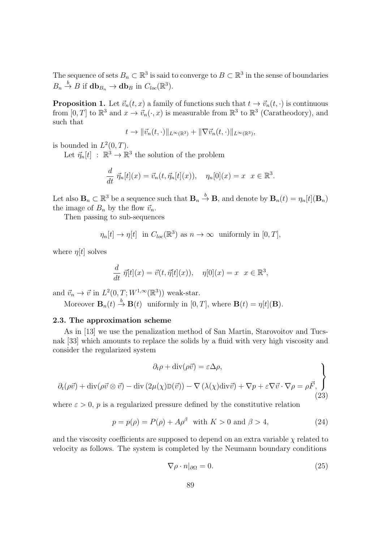The sequence of sets  $B_n \subset \mathbb{R}^3$  is said to converge to  $B \subset \mathbb{R}^3$  in the sense of boundaries  $B_n \stackrel{b}{\to} B$  if  $\mathbf{db}_{B_n} \to \mathbf{db}_B$  in  $C_{loc}(\mathbb{R}^3)$ .

**Proposition 1.** Let  $\vec{v}_n(t, x)$  a family of functions such that  $t \to \vec{v}_n(t, \cdot)$  is continuous from  $[0, T]$  to  $\mathbb{R}^3$  and  $x \to \vec{v}_n(\cdot, x)$  is measurable from  $\mathbb{R}^3$  to  $\mathbb{R}^3$  (Caratheodory), and such that

$$
t \to \|\vec{v}_n(t,\cdot)\|_{L^\infty(\mathbb{R}^3)} + \|\nabla \vec{v}_n(t,\cdot)\|_{L^\infty(\mathbb{R}^3)},
$$

is bounded in  $L^2(0,T)$ .

Let  $\vec{\eta}_n[t] : \mathbb{R}^3 \to \mathbb{R}^3$  the solution of the problem

$$
\frac{d}{dt} \ \vec{\eta}_n[t](x) = \vec{v}_n(t, \vec{\eta}_n[t](x)), \quad \eta_n[0](x) = x \quad x \in \mathbb{R}^3.
$$

Let also  $\mathbf{B}_n \subset \mathbb{R}^3$  be a sequence such that  $\mathbf{B}_n \stackrel{b}{\to} \mathbf{B}$ , and denote by  $\mathbf{B}_n(t) = \eta_n[t](\mathbf{B}_n)$ the image of  $B_n$  by the flow  $\vec{v}_n$ .

Then passing to sub-sequences

$$
\eta_n[t] \to \eta[t]
$$
 in  $C_{loc}(\mathbb{R}^3)$  as  $n \to \infty$  uniformly in  $[0, T]$ ,

where  $\eta[t]$  solves

$$
\frac{d}{dt} \ \vec{\eta}[t](x) = \vec{v}(t, \vec{\eta}[t](x)), \quad \eta[0](x) = x \ \ x \in \mathbb{R}^3,
$$

and  $\vec{v}_n \to \vec{v}$  in  $L^2(0,T;W^{1,\infty}(\mathbb{R}^3))$  weak-star.

Moreover  $\mathbf{B}_n(t) \stackrel{b}{\rightarrow} \mathbf{B}(t)$  uniformly in  $[0, T]$ , where  $\mathbf{B}(t) = \eta[t](\mathbf{B})$ .

## 2.3. The approximation scheme

As in [13] we use the penalization method of San Martin, Starovoitov and Tucsnak [33] which amounts to replace the solids by a fluid with very high viscosity and consider the regularized system

$$
\partial_t \rho + \text{div}(\rho \vec{v}) = \varepsilon \Delta \rho,
$$
  

$$
\partial_t (\rho \vec{v}) + \text{div}(\rho \vec{v} \otimes \vec{v}) - \text{div}(2\mu(\chi)\mathbb{D}(\vec{v})) - \nabla(\lambda(\chi)\text{div}\vec{v}) + \nabla p + \varepsilon \nabla \vec{v} \cdot \nabla \rho = \rho \vec{F},
$$
(23)

where  $\varepsilon > 0$ , p is a regularized pressure defined by the constitutive relation

$$
p = p(\rho) = P(\rho) + A\rho^{\beta} \quad \text{with } K > 0 \text{ and } \beta > 4,
$$
\n(24)

and the viscosity coefficients are supposed to depend on an extra variable  $\chi$  related to velocity as follows. The system is completed by the Neumann boundary conditions

$$
\nabla \rho \cdot n|_{\partial \Omega} = 0. \tag{25}
$$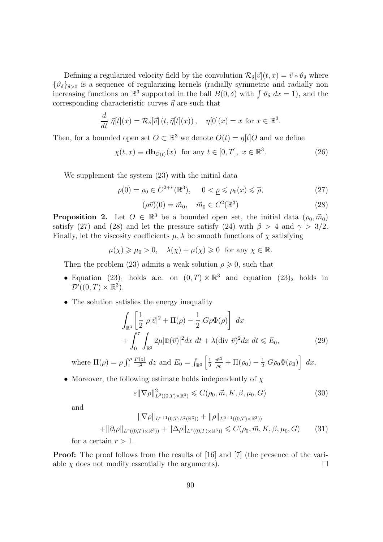Defining a regularized velocity field by the convolution  $\mathcal{R}_{\delta}[\vec{v}](t, x) = \vec{v} * \vartheta_{\delta}$  where  ${\lbrace \vartheta_{\delta} \rbrace_{\delta>0}}$  is a sequence of regularizing kernels (radially symmetric and radially non increasing functions on  $\mathbb{R}^3$  supported in the ball  $B(0, \delta)$  with  $\int \vartheta_{\delta} dx = 1$ , and the corresponding characteristic curves  $\vec{\eta}$  are such that

$$
\frac{d}{dt} \ \vec{\eta}[t](x) = \mathcal{R}_{\delta}[\vec{v}] \left( t, \vec{\eta}[t](x) \right), \quad \eta[0](x) = x \text{ for } x \in \mathbb{R}^3.
$$

Then, for a bounded open set  $O \subset \mathbb{R}^3$  we denote  $O(t) = \eta[t]O$  and we define

$$
\chi(t, x) \equiv \mathbf{db}_{O(t)}(x) \quad \text{for any } t \in [0, T], \ x \in \mathbb{R}^3. \tag{26}
$$

We supplement the system (23) with the initial data

$$
\rho(0) = \rho_0 \in C^{2+\nu}(\mathbb{R}^3), \quad 0 < \underline{\rho} \leqslant \rho_0(x) \leqslant \overline{\rho},\tag{27}
$$

$$
(\rho \vec{v})(0) = \vec{m}_0, \quad \vec{m}_0 \in C^2(\mathbb{R}^3)
$$
\n(28)

**Proposition 2.** Let  $O \in \mathbb{R}^3$  be a bounded open set, the initial data  $(\rho_0, \vec{m}_0)$ satisfy (27) and (28) and let the pressure satisfy (24) with  $\beta > 4$  and  $\gamma > 3/2$ . Finally, let the viscosity coefficients  $\mu$ ,  $\lambda$  be smooth functions of  $\chi$  satisfying

$$
\mu(\chi) \geqslant \mu_0 > 0, \quad \lambda(\chi) + \mu(\chi) \geqslant 0 \quad \text{for any } \chi \in \mathbb{R}.
$$

Then the problem (23) admits a weak solution  $\rho \geq 0$ , such that

- Equation (23)<sub>1</sub> holds a.e. on  $(0, T) \times \mathbb{R}^3$  and equation (23)<sub>2</sub> holds in  $\mathcal{D}'((0,T)\times\mathbb{R}^3).$
- The solution satisfies the energy inequality

$$
\int_{\mathbb{R}^3} \left[ \frac{1}{2} \rho |\vec{v}|^2 + \Pi(\rho) - \frac{1}{2} G \rho \Phi(\rho) \right] dx
$$
  
+ 
$$
\int_0^{\tau} \int_{\mathbb{R}^3} 2\mu |\mathbb{D}(\vec{v})|^2 dx dt + \lambda (\text{div } \vec{v})^2 dx dt \le E_0,
$$
 (29)

where  $\Pi(\rho) = \rho \int_1^{\rho}$  $P(z)$  $\frac{P(z)}{z^2}$  dz and  $E_0 = \int_{\mathbb{R}^3} \left[ \frac{1}{2} \right]$ 2  $\vec{m}^2$  $\frac{\vec{m}^2}{\rho_0} + \Pi(\rho_0) - \frac{1}{2} G \rho_0 \Phi(\rho_0) \left[ dx \right]$ 

• Moreover, the following estimate holds independently of  $\chi$ 

$$
\varepsilon \|\nabla \rho\|_{L^2((0,T)\times \mathbb{R}^3)}^2 \leqslant C(\rho_0, \vec{m}, K, \beta, \mu_0, G) \tag{30}
$$

and

$$
\|\nabla \rho\|_{L^{r+1}(0,T;L^2(\mathbb{R}^3))} + \|\rho\|_{L^{\beta+1}((0,T)\times\mathbb{R}^3))} + \|\partial_t \rho\|_{L^r((0,T)\times\mathbb{R}^3))} + \|\Delta \rho\|_{L^r((0,T)\times\mathbb{R}^3))} \leqslant C(\rho_0, \vec{m}, K, \beta, \mu_0, G)
$$
(31)

for a certain  $r > 1$ .

Proof: The proof follows from the results of [16] and [7] (the presence of the variable  $\chi$  does not modify essentially the arguments).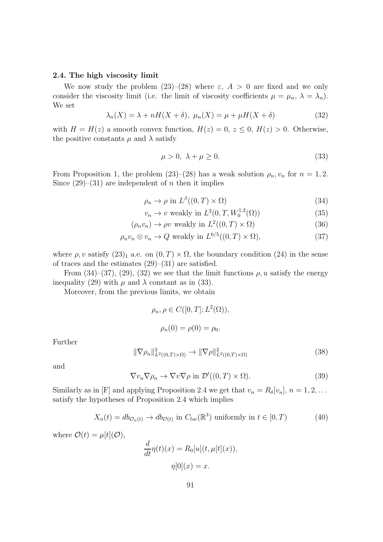#### 2.4. The high viscosity limit

We now study the problem  $(23)$ – $(28)$  where  $\varepsilon$ ,  $A > 0$  are fixed and we only consider the viscosity limit (i.e. the limit of viscosity coefficients  $\mu = \mu_n$ ,  $\lambda = \lambda_n$ ). We set

$$
\lambda_n(X) = \lambda + nH(X + \delta), \ \mu_n(X) = \mu + \mu H(X + \delta)
$$
\n(32)

with  $H = H(z)$  a smooth convex function,  $H(z) = 0, z \leq 0, H(z) > 0$ . Otherwise, the positive constants  $\mu$  and  $\lambda$  satisfy

$$
\mu > 0, \ \lambda + \mu \ge 0. \tag{33}
$$

From Proposition 1, the problem (23)–(28) has a weak solution  $\rho_n$ ,  $v_n$  for  $n = 1, 2$ . Since  $(29)$ – $(31)$  are independent of *n* then it implies

$$
\rho_n \to \rho \text{ in } L^{\beta}((0,T) \times \Omega) \tag{34}
$$

$$
v_n \to v \text{ weakly in } L^2(0, T, W_0^{1,2}(\Omega))
$$
\n
$$
(35)
$$

$$
(\rho_n v_n) \to \rho v \text{ weakly in } L^2((0, T) \times \Omega)
$$
\n(36)

$$
\rho_n v_n \otimes v_n \to Q \text{ weakly in } L^{6/5}((0,T) \times \Omega), \tag{37}
$$

where  $\rho, v$  satisfy  $(23)_1$  a.e. on  $(0, T) \times \Omega$ , the boundary condition  $(24)$  in the sense of traces and the estimates  $(29)$ – $(31)$  are satisfied.

From  $(34)-(37)$ ,  $(29)$ ,  $(32)$  we see that the limit functions  $\rho$ , u satisfy the energy inequality (29) with  $\mu$  and  $\lambda$  constant as in (33).

Moreover, from the previous limits, we obtain

$$
\rho_n, \rho \in C([0, T]; L^2(\Omega)),
$$
  
\n $\rho_n(0) = \rho(0) = \rho_0.$ 

Further

$$
\|\nabla \rho_n\|_{L^2((0,T)\times\Omega)}^2 \to \|\nabla \rho\|_{L^2((0,T)\times\Omega)}^2
$$
\n(38)

and

$$
\nabla v_n \nabla \rho_n \to \nabla v \nabla \rho \text{ in } \mathcal{D}'((0,T) \times \Omega). \tag{39}
$$

Similarly as in [F] and applying Proposition 2.4 we get that  $v_n = R_\delta[v_n], n = 1, 2, \ldots$ satisfy the hypotheses of Proposition 2.4 which implies

$$
X_n(t) = db_{\mathcal{O}_n(t)} \to db_{\mathcal{O}(t)} \text{ in } C_{loc}(\mathbb{R}^3) \text{ uniformly in } t \in [0, T)
$$
 (40)

where  $\mathcal{O}(t) = \mu[t](\mathcal{O}),$ 

$$
\frac{d}{dt}\eta(t)(x) = R_0[u](t, \mu[t](x)),
$$

$$
\eta[0](x) = x.
$$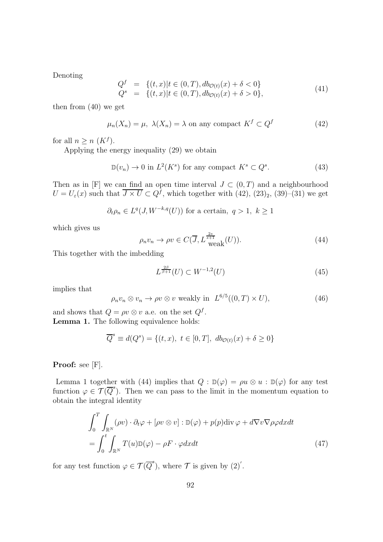Denoting

$$
Q^{f} = \{(t, x) | t \in (0, T), db_{\mathcal{O}(t)}(x) + \delta < 0 \}Q^{s} = \{(t, x) | t \in (0, T), db_{\mathcal{O}(t)}(x) + \delta > 0 \},
$$
\n(41)

then from (40) we get

$$
\mu_n(X_n) = \mu, \ \lambda(X_n) = \lambda \text{ on any compact } K^f \subset Q^f \tag{42}
$$

for all  $n \geq n (K^f)$ .

Applying the energy inequality (29) we obtain

$$
\mathbb{D}(v_n) \to 0 \text{ in } L^2(K^s) \text{ for any compact } K^s \subset Q^s. \tag{43}
$$

Then as in [F] we can find an open time interval  $J \subset (0,T)$  and a neighbourhood  $U = U_{\varepsilon}(x)$  such that  $\overline{J \times U} \subset Q^{f}$ , which together with  $(42)$ ,  $(23)_{2}$ ,  $(39)$ – $(31)$  we get

$$
\partial_t \rho_n \in L^q(J, W^{-k,q}(U))
$$
 for a certain,  $q > 1$ ,  $k \ge 1$ 

which gives us

$$
\rho_n v_n \to \rho v \in C(\overline{J}, L^{\frac{2s}{s+1}}_{\text{weak}}(U)).\tag{44}
$$

This together with the imbedding

$$
L^{\frac{2\beta}{\beta+1}}(U) \subset W^{-1,2}(U) \tag{45}
$$

implies that

$$
\rho_n v_n \otimes v_n \to \rho v \otimes v \text{ weakly in } L^{6/5}((0,T) \times U), \tag{46}
$$

and shows that  $Q = \rho v \otimes v$  a.e. on the set  $Q^f$ . Lemma 1. The following equivalence holds:

$$
\overline{Q}^s\equiv d(Q^s)=\{(t,x),\ t\in[0,T],\ db_{\mathcal{O}(t)}(x)+\delta\geq 0\}
$$

Proof: see [F].

Lemma 1 together with (44) implies that  $Q : D(\varphi) = \rho u \otimes u : D(\varphi)$  for any test function  $\varphi \in \mathcal{T}(\overline{Q}^s)$ . Then we can pass to the limit in the momentum equation to obtain the integral identity

$$
\int_{0}^{T} \int_{\mathbb{R}^{N}} (\rho v) \cdot \partial_{t} \varphi + [\rho v \otimes v] : \mathbb{D}(\varphi) + p(p) \text{div} \varphi + d \nabla v \nabla \rho \varphi dx dt
$$
\n
$$
= \int_{0}^{t} \int_{\mathbb{R}^{N}} T(u) \mathbb{D}(\varphi) - \rho F \cdot \varphi dx dt \tag{47}
$$

for any test function  $\varphi \in \mathcal{T}(\overline{Q}^s)$ , where  $\mathcal T$  is given by  $(2)'$ .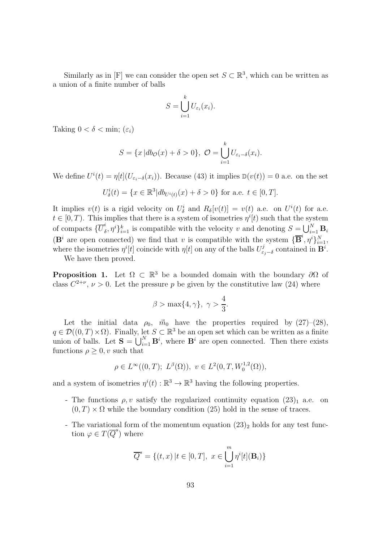Similarly as in [F] we can consider the open set  $S \subset \mathbb{R}^3$ , which can be written as a union of a finite number of balls

$$
S = \bigcup_{i=1}^{k} U_{\varepsilon_i}(x_i).
$$

Taking  $0 < \delta < \min$ ;  $(\varepsilon_i)$ 

$$
S = \{x | db_{\mathcal{O}}(x) + \delta > 0\}, \ \mathcal{O} = \bigcup_{i=1}^{k} U_{\varepsilon_i - \delta}(x_i).
$$

We define  $U^{i}(t) = \eta[t](U_{\varepsilon_{i}-\delta}(x_{i}))$ . Because (43) it implies  $\mathbb{D}(v(t)) = 0$  a.e. on the set

$$
U_{\delta}^{i}(t) = \{x \in \mathbb{R}^{3} | db_{U^{i}(t)}(x) + \delta > 0\} \text{ for a.e. } t \in [0, T].
$$

It implies  $v(t)$  is a rigid velocity on  $U^i_{\delta}$  and  $R_{\delta}[v(t)] = v(t)$  a.e. on  $U^i(t)$  for a.e.  $t \in [0, T)$ . This implies that there is a system of isometries  $\eta^{i}[t]$  such that the system of compacts  $\{\overline{U}_{\delta}^i$  $\{(\delta, \eta^i)\}_{i=1}^k$  is compatible with the velocity v and denoting  $S = \bigcup_{i=1}^N \mathbf{B}_i$  $(\mathbf{B}^i$  are open connected) we find that v is compatible with the system  $\{\overline{\mathbf{B}}^i, \eta^i\}_{i=1}^N$ , where the isometries  $\eta^{i}[t]$  coincide with  $\eta[t]$  on any of the balls  $U_{\varepsilon}^{j}$  $\epsilon_j^j$  contained in  $\mathbf{B}^i$ .

We have then proved.

**Proposition 1.** Let  $\Omega \subset \mathbb{R}^3$  be a bounded domain with the boundary  $\partial\Omega$  of class  $C^{2+\nu}$ ,  $\nu > 0$ . Let the pressure p be given by the constitutive law (24) where

$$
\beta > \max\{4, \gamma\}, \ \gamma > \frac{4}{3}.
$$

Let the initial data  $\rho_0$ ,  $\vec{m}_0$  have the properties required by (27)–(28),  $q \in \mathcal{D}((0,T) \times \Omega)$ . Finally, let  $S \subset \mathbb{R}^3$  be an open set which can be written as a finite union of balls. Let  $S = \bigcup_{i=1}^{N} B^{i}$ , where  $B^{i}$  are open connected. Then there exists functions  $\rho \geq 0$ , *v* such that

$$
\rho \in L^{\infty}((0,T); L^{\beta}(\Omega)), v \in L^{2}(0,T, W_0^{1,2}(\Omega)),
$$

and a system of isometries  $\eta^{i}(t): \mathbb{R}^{3} \to \mathbb{R}^{3}$  having the following properties.

- The functions  $\rho, v$  satisfy the regularized continuity equation  $(23)_1$  a.e. on  $(0, T) \times \Omega$  while the boundary condition (25) hold in the sense of traces.
- The variational form of the momentum equation  $(23)_2$  holds for any test function  $\varphi \in T(\overline{Q}^s)$  where

$$
\overline{Q}^{s} = \{(t, x) | t \in [0, T], \ x \in \bigcup_{i=1}^{m} \eta^{i}[t](\mathbf{B}_{i})\}
$$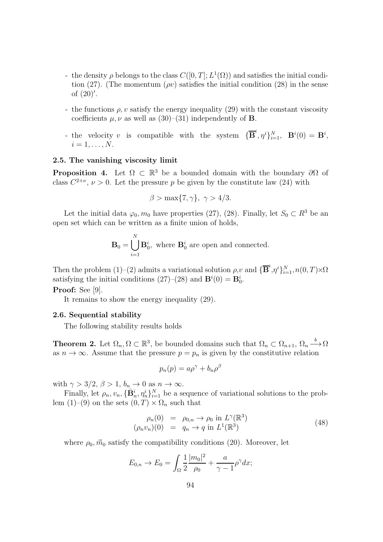- the density  $\rho$  belongs to the class  $C([0, T]; L^1(\Omega))$  and satisfies the initial condition (27). (The momentum ( $\rho v$ ) satisfies the initial condition (28) in the sense of (20)′ .
- the functions  $\rho$ , v satisfy the energy inequality (29) with the constant viscosity coefficients  $\mu, \nu$  as well as (30)–(31) independently of **B**.
- the velocity v is compatible with the system  $\{\overline{\mathbf{B}}^i, \eta^i\}_{i=1}^N$ ,  $\mathbf{B}^i(0) = \mathbf{B}^i$ ,  $i=1,\ldots,N$ .

# 2.5. The vanishing viscosity limit

**Proposition 4.** Let  $\Omega \subset \mathbb{R}^3$  be a bounded domain with the boundary  $\partial\Omega$  of class  $C^{2+\nu}$ ,  $\nu > 0$ . Let the pressure p be given by the constitute law (24) with

$$
\beta > \max\{7, \gamma\}, \ \gamma > 4/3.
$$

Let the initial data  $\varphi_0, m_0$  have properties (27), (28). Finally, let  $S_0 \subset R^3$  be an open set which can be written as a finite union of holds,

$$
\mathbf{B}_0 = \bigcup_{i=1}^N \mathbf{B}_0^i
$$
, where  $\mathbf{B}_0^i$  are open and connected.

Then the problem (1)–(2) admits a variational solution  $\rho, v$  and  $\{\overline{\mathbf{B}}^i, \eta^i\}_{i=1}^N, n(0, T) \times \Omega$ satisfying the initial conditions  $(27)-(28)$  and  $\mathbf{B}^i(0) = \mathbf{B}_0^i$ .

## Proof: See [9].

It remains to show the energy inequality (29).

#### 2.6. Sequential stability

The following stability results holds

**Theorem 2.** Let  $\Omega_n, \Omega \subset \mathbb{R}^3$ , be bounded domains such that  $\Omega_n \subset \Omega_{n+1}, \Omega_n \stackrel{b}{\longrightarrow} \Omega$ as  $n \to \infty$ . Assume that the pressure  $p = p_n$  is given by the constitutive relation

$$
p_n(p) = a\rho^{\gamma} + b_n\rho^{\beta}
$$

with  $\gamma > 3/2$ ,  $\beta > 1$ ,  $b_n \to 0$  as  $n \to \infty$ .

Finally, let  $\rho_n, v_n, {\{\bar{\bf{B}}}_n^i, \eta_n^i\}_{i=1}^N$  be a sequence of variational solutions to the problem (1)–(9) on the sets  $(0, T) \times \Omega_n$  such that

$$
\rho_n(0) = \rho_{0,n} \to \rho_0 \text{ in } L^{\gamma}(\mathbb{R}^3)
$$
  
\n
$$
(\rho_n v_n)(0) = q_n \to q \text{ in } L^1(\mathbb{R}^3)
$$
\n(48)

where  $\rho_0, \vec{m}_0$  satisfy the compatibility conditions (20). Moreover, let

$$
E_{0,n} \to E_0 = \int_{\Omega} \frac{1}{2} \frac{|m_0|^2}{\rho_0} + \frac{a}{\gamma - 1} \rho^{\gamma} dx;
$$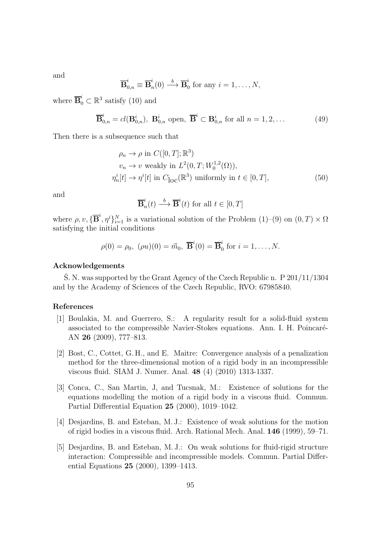and

$$
\overline{\mathbf{B}}_{0,n}^{i} \equiv \overline{\mathbf{B}}_{n}^{i}(0) \xrightarrow{b} \overline{\mathbf{B}}_{0}^{i} \text{ for any } i = 1, \ldots, N,
$$

where  $\overline{\mathbf{B}}_0^i \subset \mathbb{R}^3$  satisfy (10) and

$$
\overline{\mathbf{B}}_{0,n}^i = cl(\mathbf{B}_{0,n}^i), \ \mathbf{B}_{0,n}^i \text{ open}, \ \overline{\mathbf{B}}^i \subset \mathbf{B}_{0,n}^i \text{ for all } n = 1, 2, \dots
$$
 (49)

Then there is a subsequence such that

$$
\rho_n \to \rho \text{ in } C([0, T]; \mathbb{R}^3)
$$
  
\n
$$
v_n \to v \text{ weakly in } L^2(0, T; W_0^{1,2}(\Omega)),
$$
  
\n
$$
\eta_n^i[t] \to \eta^i[t] \text{ in } C_{\text{loc}}(\mathbb{R}^3) \text{ uniformly in } t \in [0, T],
$$
\n(50)

and

$$
\overline{\mathbf{B}}_n^i(t) \xrightarrow{b} \overline{\mathbf{B}}^i(t) \text{ for all } t \in [0, T]
$$

where  $\rho, v, \{\overline{\mathbf{B}}^i, \eta^i\}_{i=1}^N$  is a variational solution of the Problem  $(1)-(9)$  on  $(0, T) \times \Omega$ satisfying the initial conditions

$$
\rho(0) = \rho_0, \; (\rho u)(0) = \vec{m}_0, \; \overline{\mathbf{B}}^i(0) = \overline{\mathbf{B}}^i_0 \text{ for } i = 1, \ldots, N.
$$

#### Acknowledgements

S. N. was supported by the Grant Agency of the Czech Republic n.  $P$  201/11/1304 and by the Academy of Sciences of the Czech Republic, RVO: 67985840.

## References

- [1] Boulakia, M. and Guerrero, S.: A regularity result for a solid-fluid system associated to the compressible Navier-Stokes equations. Ann. I. H. Poincaré-AN 26 (2009), 777–813.
- [2] Bost, C., Cottet, G. H., and E. Maitre: Convergence analysis of a penalization method for the three-dimensional motion of a rigid body in an incompressible viscous fluid. SIAM J. Numer. Anal. 48 (4) (2010) 1313-1337.
- [3] Conca, C., San Martin, J, and Tucsnak, M.: Existence of solutions for the equations modelling the motion of a rigid body in a viscous fluid. Commun. Partial Differential Equation 25 (2000), 1019–1042.
- [4] Desjardins, B. and Esteban, M. J.: Existence of weak solutions for the motion of rigid bodies in a viscous fluid. Arch. Rational Mech. Anal. 146 (1999), 59–71.
- [5] Desjardins, B. and Esteban, M. J.: On weak solutions for fluid-rigid structure interaction: Compressible and incompressible models. Commun. Partial Differential Equations 25 (2000), 1399–1413.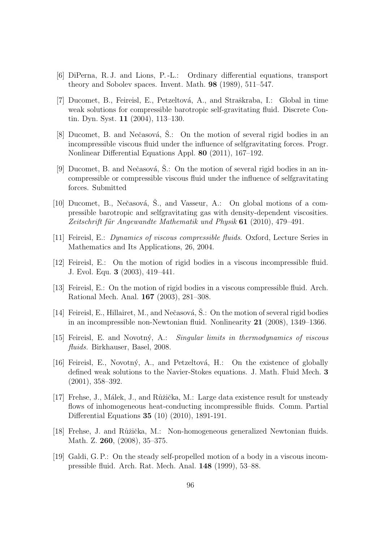- [6] DiPerna, R. J. and Lions, P. -L.: Ordinary differential equations, transport theory and Sobolev spaces. Invent. Math. 98 (1989), 511–547.
- [7] Ducomet, B., Feireisl, E., Petzeltová, A., and Straškraba, I.: Global in time weak solutions for compressible barotropic self-gravitating fluid. Discrete Contin. Dyn. Syst. 11 (2004), 113–130.
- [8] Ducomet, B. and Nečasová,  $\dot{S}$ .: On the motion of several rigid bodies in an incompressible viscous fluid under the influence of selfgravitating forces. Progr. Nonlinear Differential Equations Appl. 80 (2011), 167–192.
- [9] Ducomet, B. and Nečasová, Š.: On the motion of several rigid bodies in an incompressible or compressible viscous fluid under the influence of selfgravitating forces. Submitted
- [10] Ducomet, B., Nečasová, Š., and Vasseur, A.: On global motions of a compressible barotropic and selfgravitating gas with density-dependent viscosities. *Zeitschrift f¨ur Angewandte Mathematik und Physik* 61 (2010), 479–491.
- [11] Feireisl, E.: *Dynamics of viscous compressible fluids*. Oxford, Lecture Series in Mathematics and Its Applications, 26, 2004.
- [12] Feireisl, E.: On the motion of rigid bodies in a viscous incompressible fluid. J. Evol. Equ. 3 (2003), 419–441.
- [13] Feireisl, E.: On the motion of rigid bodies in a viscous compressible fluid. Arch. Rational Mech. Anal. 167 (2003), 281–308.
- [14] Feireisl, E., Hillairet, M., and Nečasová, Š.: On the motion of several rigid bodies in an incompressible non-Newtonian fluid. Nonlinearity 21 (2008), 1349–1366.
- [15] Feireisl, E. and Novotn´y, A.: *Singular limits in thermodynamics of viscous fluids.* Birkhauser, Basel, 2008.
- [16] Feireisl, E., Novotný, A., and Petzeltová, H.: On the existence of globally defined weak solutions to the Navier-Stokes equations. J. Math. Fluid Mech. 3 (2001), 358–392.
- [17] Frehse, J., Málek, J., and Růžička, M.: Large data existence result for unsteady flows of inhomogeneous heat-conducting incompressible fluids. Comm. Partial Differential Equations 35 (10) (2010), 1891-191.
- [18] Frehse, J. and Růžička, M.: Non-homogeneous generalized Newtonian fluids. Math. Z. 260, (2008), 35–375.
- [19] Galdi, G. P.: On the steady self-propelled motion of a body in a viscous incompressible fluid. Arch. Rat. Mech. Anal. 148 (1999), 53–88.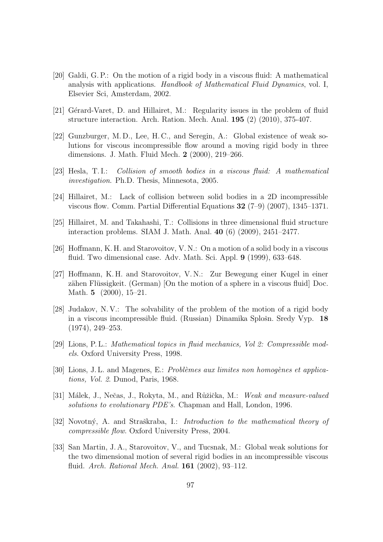- [20] Galdi, G. P.: On the motion of a rigid body in a viscous fluid: A mathematical analysis with applications. *Handbook of Mathematical Fluid Dynamics*, vol. I, Elsevier Sci, Amsterdam, 2002.
- [21] Gérard-Varet, D. and Hillairet, M.: Regularity issues in the problem of fluid structure interaction. Arch. Ration. Mech. Anal. 195 (2) (2010), 375-407.
- [22] Gunzburger, M. D., Lee, H. C., and Seregin, A.: Global existence of weak solutions for viscous incompressible flow around a moving rigid body in three dimensions. J. Math. Fluid Mech. 2 (2000), 219–266.
- [23] Hesla, T. I.: *Collision of smooth bodies in a viscous fluid: A mathematical investigation*. Ph.D. Thesis, Minnesota, 2005.
- [24] Hillairet, M.: Lack of collision between solid bodies in a 2D incompressible viscous flow. Comm. Partial Differential Equations 32 (7–9) (2007), 1345–1371.
- [25] Hillairet, M. and Takahashi, T.: Collisions in three dimensional fluid structure interaction problems. SIAM J. Math. Anal. 40 (6) (2009), 2451–2477.
- [26] Hoffmann, K. H. and Starovoitov, V. N.: On a motion of a solid body in a viscous fluid. Two dimensional case. Adv. Math. Sci. Appl. 9 (1999), 633–648.
- [27] Hoffmann, K. H. and Starovoitov, V. N.: Zur Bewegung einer Kugel in einer zähen Flüssigkeit. (German) [On the motion of a sphere in a viscous fluid] Doc. Math. **5** (2000), 15-21.
- [28] Judakov, N. V.: The solvability of the problem of the motion of a rigid body in a viscous incompressible fluid. (Russian) Dinamika Splošn. Sredy Vyp. 18 (1974), 249–253.
- [29] Lions, P. L.: *Mathematical topics in fluid mechanics, Vol 2: Compressible models*. Oxford University Press, 1998.
- [30] Lions, J.L. and Magenes, E.: *Problèmes aux limites non homogènes et applications, Vol. 2*. Dunod, Paris, 1968.
- [31] M´alek, J., Neˇcas, J., Rokyta, M., and R˚uˇziˇcka, M.: *Weak and measure-valued solutions to evolutionary PDE's*. Chapman and Hall, London, 1996.
- [32] Novotný, A. and Straškraba, I.: *Introduction to the mathematical theory of compressible flow*. Oxford University Press, 2004.
- [33] San Martin, J. A., Starovoitov, V., and Tucsnak, M.: Global weak solutions for the two dimensional motion of several rigid bodies in an incompressible viscous fluid. *Arch. Rational Mech. Anal.* 161 (2002), 93–112.